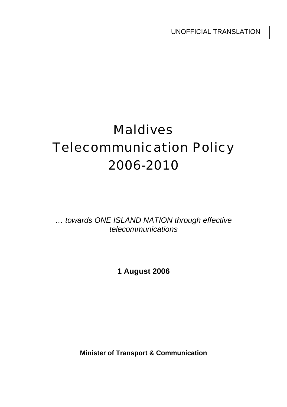UNOFFICIAL TRANSLATION

# Maldives Telecommunication Policy 2006-2010

*… towards ONE ISLAND NATION through effective telecommunications* 

**1 August 2006** 

**Minister of Transport & Communication**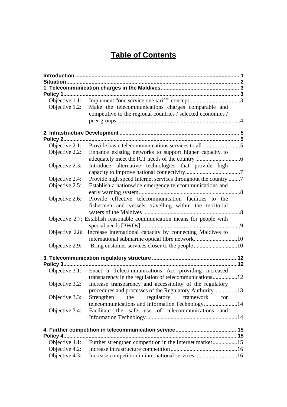# **Table of Contents**

| Objective 1.2: | Make the telecommunications charges comparable and                      |  |  |  |  |
|----------------|-------------------------------------------------------------------------|--|--|--|--|
|                | competitive to the regional countries / selected economies /            |  |  |  |  |
|                |                                                                         |  |  |  |  |
|                |                                                                         |  |  |  |  |
|                |                                                                         |  |  |  |  |
|                |                                                                         |  |  |  |  |
|                |                                                                         |  |  |  |  |
| Objective 2.2: | Enhance existing networks to support higher capacity to                 |  |  |  |  |
|                |                                                                         |  |  |  |  |
| Objective 2.3: | Introduce alternative technologies that provide high                    |  |  |  |  |
| Objective 2.4: | Provide high speed Internet services throughout the country 7           |  |  |  |  |
| Objective 2.5: | Establish a nationwide emergency telecommunications and                 |  |  |  |  |
|                |                                                                         |  |  |  |  |
| Objective 2.6: | Provide effective telecommunication facilities to the                   |  |  |  |  |
|                | fishermen and vessels travelling within the territorial                 |  |  |  |  |
|                |                                                                         |  |  |  |  |
|                | Objective 2.7: Establish reasonable communication means for people with |  |  |  |  |
|                |                                                                         |  |  |  |  |
| Objective 2.8: | Increase international capacity by connecting Maldives to               |  |  |  |  |
|                |                                                                         |  |  |  |  |
|                |                                                                         |  |  |  |  |
|                |                                                                         |  |  |  |  |
|                |                                                                         |  |  |  |  |
|                | Objective 3.1: Enact a Telecommunications Act providing increased       |  |  |  |  |
|                |                                                                         |  |  |  |  |
| Objective 3.2: | Increase transparency and accessibility of the regulatory               |  |  |  |  |
|                | procedures and processes of the Regulatory Authority13                  |  |  |  |  |
| Objective 3.3: | regulatory framework<br>Strengthen<br>the<br>for                        |  |  |  |  |
|                | telecommunications and Information Technology14                         |  |  |  |  |
| Objective 3.4: | safe use of telecommunications and<br>Facilitate<br>the                 |  |  |  |  |
|                |                                                                         |  |  |  |  |
|                |                                                                         |  |  |  |  |
|                |                                                                         |  |  |  |  |
| Objective 4.1: | Further strengthen competition in the Internet market15                 |  |  |  |  |
| Objective 4.2: |                                                                         |  |  |  |  |
| Objective 4.3: | Increase competition in international services 16                       |  |  |  |  |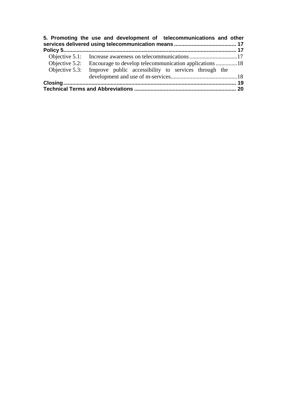| 5. Promoting the use and development of telecommunications and other |  |
|----------------------------------------------------------------------|--|
|                                                                      |  |
|                                                                      |  |
|                                                                      |  |
| Objective 5.3: Improve public accessibility to services through the  |  |
|                                                                      |  |
|                                                                      |  |
|                                                                      |  |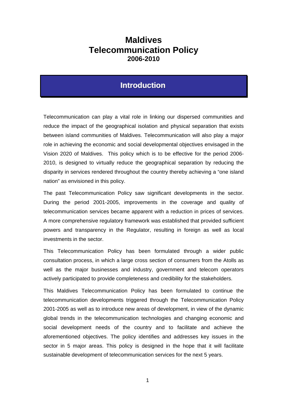# **Maldives Telecommunication Policy 2006-2010**

# **Introduction**

Telecommunication can play a vital role in linking our dispersed communities and reduce the impact of the geographical isolation and physical separation that exists between island communities of Maldives. Telecommunication will also play a major role in achieving the economic and social developmental objectives envisaged in the Vision 2020 of Maldives. This policy which is to be effective for the period 2006- 2010, is designed to virtually reduce the geographical separation by reducing the disparity in services rendered throughout the country thereby achieving a "one island nation" as envisioned in this policy.

The past Telecommunication Policy saw significant developments in the sector. During the period 2001-2005, improvements in the coverage and quality of telecommunication services became apparent with a reduction in prices of services. A more comprehensive regulatory framework was established that provided sufficient powers and transparency in the Regulator, resulting in foreign as well as local investments in the sector.

This Telecommunication Policy has been formulated through a wider public consultation process, in which a large cross section of consumers from the Atolls as well as the major businesses and industry, government and telecom operators actively participated to provide completeness and credibility for the stakeholders.

This Maldives Telecommunication Policy has been formulated to continue the telecommunication developments triggered through the Telecommunication Policy 2001-2005 as well as to introduce new areas of development, in view of the dynamic global trends in the telecommunication technologies and changing economic and social development needs of the country and to facilitate and achieve the aforementioned objectives. The policy identifies and addresses key issues in the sector in 5 major areas. This policy is designed in the hope that it will facilitate sustainable development of telecommunication services for the next 5 years.

1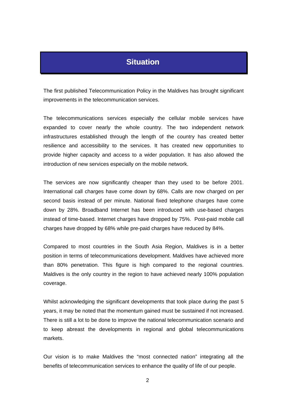# **Situation**

The first published Telecommunication Policy in the Maldives has brought significant improvements in the telecommunication services.

The telecommunications services especially the cellular mobile services have expanded to cover nearly the whole country. The two independent network infrastructures established through the length of the country has created better resilience and accessibility to the services. It has created new opportunities to provide higher capacity and access to a wider population. It has also allowed the introduction of new services especially on the mobile network.

The services are now significantly cheaper than they used to be before 2001. International call charges have come down by 68%. Calls are now charged on per second basis instead of per minute. National fixed telephone charges have come down by 28%. Broadband Internet has been introduced with use-based charges instead of time-based. Internet charges have dropped by 75%. Post-paid mobile call charges have dropped by 68% while pre-paid charges have reduced by 84%.

Compared to most countries in the South Asia Region, Maldives is in a better position in terms of telecommunications development. Maldives have achieved more than 80% penetration. This figure is high compared to the regional countries. Maldives is the only country in the region to have achieved nearly 100% population coverage.

Whilst acknowledging the significant developments that took place during the past 5 years, it may be noted that the momentum gained must be sustained if not increased. There is still a lot to be done to improve the national telecommunication scenario and to keep abreast the developments in regional and global telecommunications markets.

Our vision is to make Maldives the "most connected nation" integrating all the benefits of telecommunication services to enhance the quality of life of our people.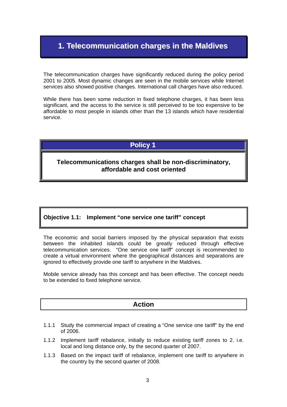# **1. Telecommunication charges in the Maldives**

The telecommunication charges have significantly reduced during the policy period 2001 to 2005. Most dynamic changes are seen in the mobile services while Internet services also showed positive changes. International call charges have also reduced.

While there has been some reduction in fixed telephone charges, it has been less significant, and the access to the service is still perceived to be too expensive to be affordable to most people in islands other than the 13 islands which have residential service.

# **Policy 1**

#### **Telecommunications charges shall be non-discriminatory, affordable and cost oriented**

#### **Objective 1.1: Implement "one service one tariff" concept**

The economic and social barriers imposed by the physical separation that exists between the inhabited islands could be greatly reduced through effective telecommunication services. "One service one tariff" concept is recommended to create a virtual environment where the geographical distances and separations are ignored to effectively provide one tariff to anywhere in the Maldives.

Mobile service already has this concept and has been effective. The concept needs to be extended to fixed telephone service.

- 1.1.1 Study the commercial impact of creating a "One service one tariff" by the end of 2006.
- 1.1.2 Implement tariff rebalance, initially to reduce existing tariff zones to 2. i.e. local and long distance only, by the second quarter of 2007.
- 1.1.3 Based on the impact tariff of rebalance, implement one tariff to anywhere in the country by the second quarter of 2008.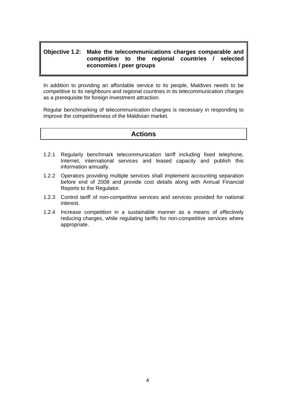#### **Objective 1.2: Make the telecommunications charges comparable and competitive to the regional countries / selected economies / peer groups**

In addition to providing an affordable service to its people, Maldives needs to be competitive to its neighbours and regional countries in its telecommunication charges as a prerequisite for foreign investment attraction.

Regular benchmarking of telecommunication charges is necessary in responding to improve the competitiveness of the Maldivian market.

- 1.2.1 Regularly benchmark telecommunication tariff including fixed telephone, Internet, international services and leased capacity and publish this information annually.
- 1.2.2 Operators providing multiple services shall implement accounting separation before end of 2008 and provide cost details along with Annual Financial Reports to the Regulator.
- 1.2.3 Control tariff of non-competitive services and services provided for national interest.
- 1.2.4 Increase competition in a sustainable manner as a means of effectively reducing charges, while regulating tariffs for non-competitive services where appropriate.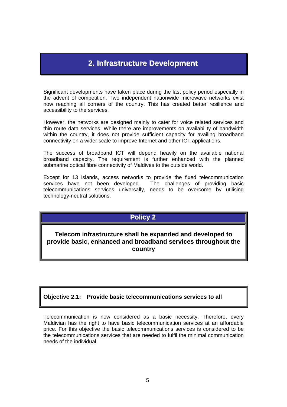# **2. Infrastructure Development**

Significant developments have taken place during the last policy period especially in the advent of competition. Two independent nationwide microwave networks exist now reaching all corners of the country. This has created better resilience and accessibility to the services.

However, the networks are designed mainly to cater for voice related services and thin route data services. While there are improvements on availability of bandwidth within the country, it does not provide sufficient capacity for availing broadband connectivity on a wider scale to improve Internet and other ICT applications.

The success of broadband ICT will depend heavily on the available national broadband capacity. The requirement is further enhanced with the planned submarine optical fibre connectivity of Maldives to the outside world.

Except for 13 islands, access networks to provide the fixed telecommunication services have not been developed. The challenges of providing basic telecommunications services universally, needs to be overcome by utilising technology-neutral solutions.

### **Policy 2**

**Telecom infrastructure shall be expanded and developed to provide basic, enhanced and broadband services throughout the country** 

#### **Objective 2.1: Provide basic telecommunications services to all**

Telecommunication is now considered as a basic necessity. Therefore, every Maldivian has the right to have basic telecommunication services at an affordable price. For this objective the basic telecommunications services is considered to be the telecommunications services that are needed to fulfil the minimal communication needs of the individual.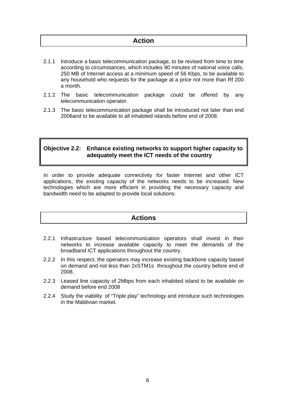### **Action**

- 2.1.1 Introduce a basic telecommunication package, to be revised from time to time according to circumstances, which includes 90 minutes of national voice calls, 250 MB of Internet access at a minimum speed of 56 Kbps, to be available to any household who requests for the package at a price not more than Rf 200 a month.
- 2.1.2 The basic telecommunication package could be offered by any telecommunication operator.
- 2.1.3 The basic telecommunication package shall be introduced not later than end 2006and to be available to all inhabited islands before end of 2008.

#### **Objective 2.2: Enhance existing networks to support higher capacity to adequately meet the ICT needs of the country**

In order to provide adequate connectivity for faster Internet and other ICT applications, the existing capacity of the networks needs to be increased. New technologies which are more efficient in providing the necessary capacity and bandwidth need to be adapted to provide local solutions.

- 2.2.1 Infrastructure based telecommunication operators shall invest in their networks to increase available capacity to meet the demands of the broadband ICT applications throughout the country.
- 2.2.2 In this respect, the operators may increase existing backbone capacity based on demand and not less than 2xSTM1s throughout the country before end of 2008.
- 2.2.3 Leased line capacity of 2Mbps from each inhabited island to be available on demand before end 2008
- 2.2.4 Study the viability of "Triple play" technology and introduce such technologies in the Maldivian market.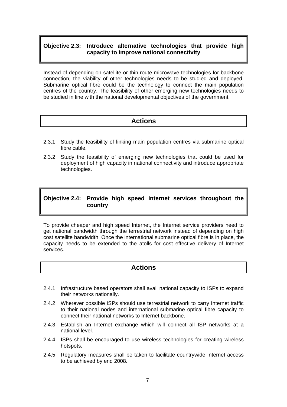#### **Objective 2.3: Introduce alternative technologies that provide high capacity to improve national connectivity**

Instead of depending on satellite or thin-route microwave technologies for backbone connection, the viability of other technologies needs to be studied and deployed. Submarine optical fibre could be the technology to connect the main population centres of the country. The feasibility of other emerging new technologies needs to be studied in line with the national developmental objectives of the government.

### **Actions**

- 2.3.1 Study the feasibility of linking main population centres via submarine optical fibre cable.
- 2.3.2 Study the feasibility of emerging new technologies that could be used for deployment of high capacity in national connectivity and introduce appropriate technologies.

#### **Objective 2.4: Provide high speed Internet services throughout the country**

To provide cheaper and high speed Internet, the Internet service providers need to get national bandwidth through the terrestrial network instead of depending on high cost satellite bandwidth. Once the international submarine optical fibre is in place, the capacity needs to be extended to the atolls for cost effective delivery of Internet services.

- 2.4.1 Infrastructure based operators shall avail national capacity to ISPs to expand their networks nationally.
- 2.4.2 Wherever possible ISPs should use terrestrial network to carry Internet traffic to their national nodes and international submarine optical fibre capacity to connect their national networks to Internet backbone.
- 2.4.3 Establish an Internet exchange which will connect all ISP networks at a national level.
- 2.4.4 ISPs shall be encouraged to use wireless technologies for creating wireless hotspots.
- 2.4.5 Regulatory measures shall be taken to facilitate countrywide Internet access to be achieved by end 2008.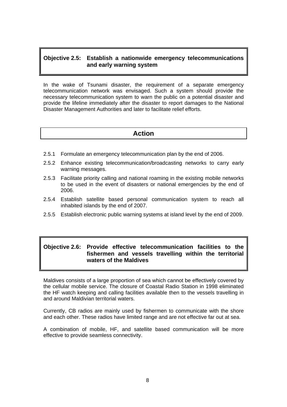#### **Objective 2.5: Establish a nationwide emergency telecommunications and early warning system**

In the wake of Tsunami disaster, the requirement of a separate emergency telecommunication network was envisaged. Such a system should provide the necessary telecommunication system to warn the public on a potential disaster and provide the lifeline immediately after the disaster to report damages to the National Disaster Management Authorities and later to facilitate relief efforts.

#### **Action**

- 2.5.1 Formulate an emergency telecommunication plan by the end of 2006.
- 2.5.2 Enhance existing telecommunication/broadcasting networks to carry early warning messages.
- 2.5.3 Facilitate priority calling and national roaming in the existing mobile networks to be used in the event of disasters or national emergencies by the end of 2006.
- 2.5.4 Establish satellite based personal communication system to reach all inhabited islands by the end of 2007.
- 2.5.5 Establish electronic public warning systems at island level by the end of 2009.

#### **Objective 2.6: Provide effective telecommunication facilities to the fishermen and vessels travelling within the territorial waters of the Maldives**

Maldives consists of a large proportion of sea which cannot be effectively covered by the cellular mobile service. The closure of Coastal Radio Station in 1998 eliminated the HF watch keeping and calling facilities available then to the vessels travelling in and around Maldivian territorial waters.

Currently, CB radios are mainly used by fishermen to communicate with the shore and each other. These radios have limited range and are not effective far out at sea.

A combination of mobile, HF, and satellite based communication will be more effective to provide seamless connectivity.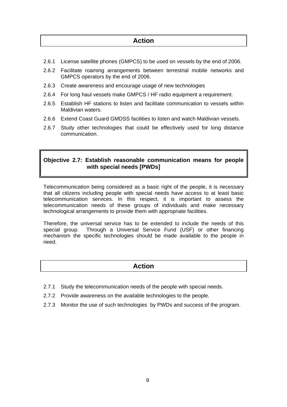### **Action**

- 2.6.1 License satellite phones (GMPCS) to be used on vessels by the end of 2006.
- 2.6.2 Facilitate roaming arrangements between terrestrial mobile networks and GMPCS operators by the end of 2006.
- 2.6.3 Create awareness and encourage usage of new technologies
- 2.6.4 For long haul vessels make GMPCS / HF radio equipment a requirement.
- 2.6.5 Establish HF stations to listen and facilitate communication to vessels within Maldivian waters.
- 2.6.6 Extend Coast Guard GMDSS facilities to listen and watch Maldivian vessels.
- 2.6.7 Study other technologies that could be effectively used for long distance communication.

#### **Objective 2.7: Establish reasonable communication means for people with special needs [PWDs]**

Telecommunication being considered as a basic right of the people, it is necessary that all citizens including people with special needs have access to at least basic telecommunication services. In this respect, it is important to assess the telecommunication needs of these groups of individuals and make necessary technological arrangements to provide them with appropriate facilities.

Therefore, the universal service has to be extended to include the needs of this special group. Through a Universal Service Fund (USF) or other financing mechanism the specific technologies should be made available to the people in need.

- 2.7.1 Study the telecommunication needs of the people with special needs.
- 2.7.2 Provide awareness on the available technologies to the people.
- 2.7.3 Monitor the use of such technologies by PWDs and success of the program.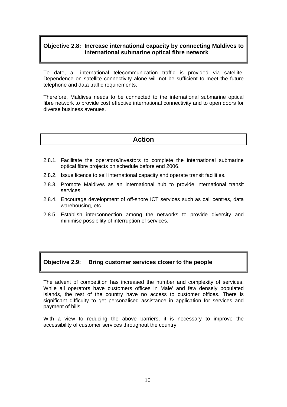#### **Objective 2.8: Increase international capacity by connecting Maldives to international submarine optical fibre network**

To date, all international telecommunication traffic is provided via satellite. Dependence on satellite connectivity alone will not be sufficient to meet the future telephone and data traffic requirements.

Therefore, Maldives needs to be connected to the international submarine optical fibre network to provide cost effective international connectivity and to open doors for diverse business avenues.

#### **Action**

- 2.8.1. Facilitate the operators/investors to complete the international submarine optical fibre projects on schedule before end 2006.
- 2.8.2. Issue licence to sell international capacity and operate transit facilities.
- 2.8.3. Promote Maldives as an international hub to provide international transit services.
- 2.8.4. Encourage development of off-shore ICT services such as call centres, data warehousing, etc.
- 2.8.5. Establish interconnection among the networks to provide diversity and minimise possibility of interruption of services.

#### **Objective 2.9: Bring customer services closer to the people**

The advent of competition has increased the number and complexity of services. While all operators have customers offices in Male' and few densely populated islands, the rest of the country have no access to customer offices. There is significant difficulty to get personalised assistance in application for services and payment of bills.

With a view to reducing the above barriers, it is necessary to improve the accessibility of customer services throughout the country.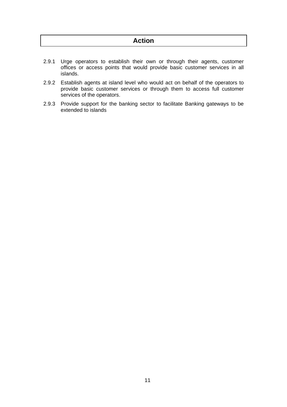- 2.9.1 Urge operators to establish their own or through their agents, customer offices or access points that would provide basic customer services in all islands.
- 2.9.2 Establish agents at island level who would act on behalf of the operators to provide basic customer services or through them to access full customer services of the operators.
- 2.9.3 Provide support for the banking sector to facilitate Banking gateways to be extended to islands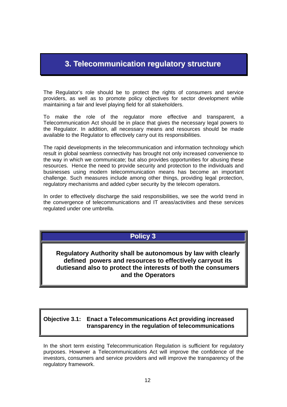# **3. Telecommunication regulatory structure**

The Regulator's role should be to protect the rights of consumers and service providers, as well as to promote policy objectives for sector development while maintaining a fair and level playing field for all stakeholders.

To make the role of the regulator more effective and transparent, a Telecommunication Act should be in place that gives the necessary legal powers to the Regulator. In addition, all necessary means and resources should be made available to the Regulator to effectively carry out its responsibilities.

The rapid developments in the telecommunication and information technology which result in global seamless connectivity has brought not only increased convenience to the way in which we communicate; but also provides opportunities for abusing these resources. Hence the need to provide security and protection to the individuals and businesses using modern telecommunication means has become an important challenge. Such measures include among other things, providing legal protection, regulatory mechanisms and added cyber security by the telecom operators.

In order to effectively discharge the said responsibilities, we see the world trend in the convergence of telecommunications and IT areas/activities and these services regulated under one umbrella.

### **Policy 3**

**Regulatory Authority shall be autonomous by law with clearly defined powers and resources to effectively carryout its dutiesand also to protect the interests of both the consumers and the Operators** 

#### **Objective 3.1: Enact a Telecommunications Act providing increased transparency in the regulation of telecommunications**

In the short term existing Telecommunication Regulation is sufficient for regulatory purposes. However a Telecommunications Act will improve the confidence of the investors, consumers and service providers and will improve the transparency of the regulatory framework.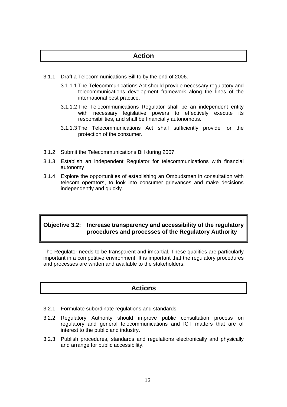# **Action**

- 3.1.1 Draft a Telecommunications Bill to by the end of 2006.
	- 3.1.1.1 The Telecommunications Act should provide necessary regulatory and telecommunications development framework along the lines of the international best practice.
	- 3.1.1.2 The Telecommunications Regulator shall be an independent entity with necessary legislative powers to effectively execute its responsibilities, and shall be financially autonomous.
	- 3.1.1.3 The Telecommunications Act shall sufficiently provide for the protection of the consumer.
- 3.1.2 Submit the Telecommunications Bill during 2007.
- 3.1.3 Establish an independent Regulator for telecommunications with financial autonomy
- 3.1.4 Explore the opportunities of establishing an Ombudsmen in consultation with telecom operators, to look into consumer grievances and make decisions independently and quickly.

#### **Objective 3.2: Increase transparency and accessibility of the regulatory procedures and processes of the Regulatory Authority**

The Regulator needs to be transparent and impartial. These qualities are particularly important in a competitive environment. It is important that the regulatory procedures and processes are written and available to the stakeholders.

- 3.2.1 Formulate subordinate regulations and standards
- 3.2.2 Regulatory Authority should improve public consultation process on regulatory and general telecommunications and ICT matters that are of interest to the public and industry.
- 3.2.3 Publish procedures, standards and regulations electronically and physically and arrange for public accessibility.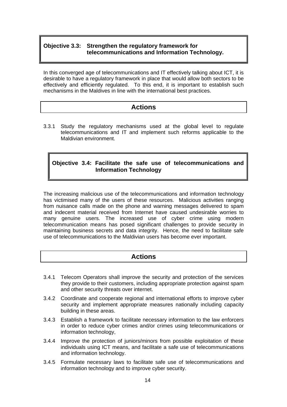#### **Objective 3.3: Strengthen the regulatory framework for telecommunications and Information Technology.**

In this converged age of telecommunications and IT effectively talking about ICT, it is desirable to have a regulatory framework in place that would allow both sectors to be effectively and efficiently regulated. To this end, it is important to establish such mechanisms in the Maldives in line with the international best practices.

### **Actions**

3.3.1 Study the regulatory mechanisms used at the global level to regulate telecommunications and IT and implement such reforms applicable to the Maldivian environment.

#### **Objective 3.4: Facilitate the safe use of telecommunications and Information Technology**

The increasing malicious use of the telecommunications and information technology has victimised many of the users of these resources. Malicious activities ranging from nuisance calls made on the phone and warning messages delivered to spam and indecent material received from Internet have caused undesirable worries to many genuine users. The increased use of cyber crime using modern telecommunication means has posed significant challenges to provide security in maintaining business secrets and data integrity. Hence, the need to facilitate safe use of telecommunications to the Maldivian users has become ever important.

- 3.4.1 Telecom Operators shall improve the security and protection of the services they provide to their customers, including appropriate protection against spam and other security threats over internet.
- 3.4.2 Coordinate and cooperate regional and international efforts to improve cyber security and implement appropriate measures nationally including capacity building in these areas.
- 3.4.3 Establish a framework to facilitate necessary information to the law enforcers in order to reduce cyber crimes and/or crimes using telecommunications or information technology,
- 3.4.4 Improve the protection of juniors/minors from possible exploitation of these individuals using ICT means, and facilitate a safe use of telecommunications and information technology.
- 3.4.5 Formulate necessary laws to facilitate safe use of telecommunications and information technology and to improve cyber security.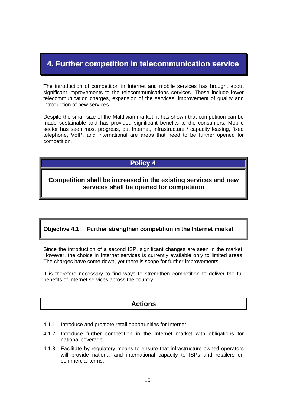# **4. Further competition in telecommunication service**

The introduction of competition in Internet and mobile services has brought about significant improvements to the telecommunications services. These include lower telecommunication charges, expansion of the services, improvement of quality and introduction of new services.

Despite the small size of the Maldivian market, it has shown that competition can be made sustainable and has provided significant benefits to the consumers. Mobile sector has seen most progress, but Internet, infrastructure / capacity leasing, fixed telephone, VoIP, and international are areas that need to be further opened for competition.

# **Policy 4**

#### **Competition shall be increased in the existing services and new services shall be opened for competition**

#### **Objective 4.1: Further strengthen competition in the Internet market**

Since the introduction of a second ISP, significant changes are seen in the market. However, the choice in Internet services is currently available only to limited areas. The charges have come down, yet there is scope for further improvements.

It is therefore necessary to find ways to strengthen competition to deliver the full benefits of Internet services across the country.

- 4.1.1 Introduce and promote retail opportunities for Internet.
- 4.1.2 Introduce further competition in the Internet market with obligations for national coverage.
- 4.1.3 Facilitate by regulatory means to ensure that infrastructure owned operators will provide national and international capacity to ISPs and retailers on commercial terms.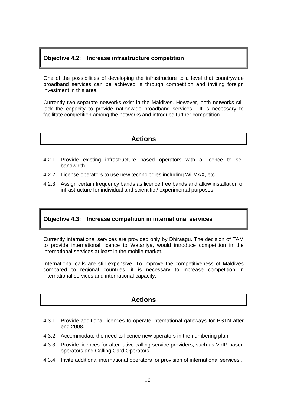#### **Objective 4.2: Increase infrastructure competition**

One of the possibilities of developing the infrastructure to a level that countrywide broadband services can be achieved is through competition and inviting foreign investment in this area.

Currently two separate networks exist in the Maldives. However, both networks still lack the capacity to provide nationwide broadband services. It is necessary to facilitate competition among the networks and introduce further competition.

#### **Actions**

- 4.2.1 Provide existing infrastructure based operators with a licence to sell bandwidth.
- 4.2.2 License operators to use new technologies including Wi-MAX, etc.
- 4.2.3 Assign certain frequency bands as licence free bands and allow installation of infrastructure for individual and scientific / experimental purposes.

#### **Objective 4.3: Increase competition in international services**

Currently international services are provided only by Dhiraagu. The decision of TAM to provide international licence to Wataniya, would introduce competition in the international services at least in the mobile market.

International calls are still expensive. To improve the competitiveness of Maldives compared to regional countries, it is necessary to increase competition in international services and international capacity.

- 4.3.1 Provide additional licences to operate international gateways for PSTN after end 2008.
- 4.3.2 Accommodate the need to licence new operators in the numbering plan.
- 4.3.3 Provide licences for alternative calling service providers, such as VoIP based operators and Calling Card Operators.
- 4.3.4 Invite additional international operators for provision of international services..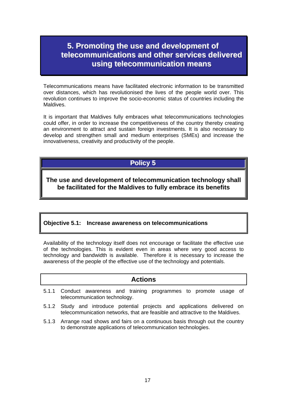# **5. Promoting the use and development of telecommunications and other services delivered using telecommunication means**

Telecommunications means have facilitated electronic information to be transmitted over distances, which has revolutionised the lives of the people world over. This revolution continues to improve the socio-economic status of countries including the **Maldives** 

It is important that Maldives fully embraces what telecommunications technologies could offer, in order to increase the competitiveness of the country thereby creating an environment to attract and sustain foreign investments. It is also necessary to develop and strengthen small and medium enterprises (SMEs) and increase the innovativeness, creativity and productivity of the people.

#### **Policy 5**

**The use and development of telecommunication technology shall be facilitated for the Maldives to fully embrace its benefits** 

#### **Objective 5.1: Increase awareness on telecommunications**

Availability of the technology itself does not encourage or facilitate the effective use of the technologies. This is evident even in areas where very good access to technology and bandwidth is available. Therefore it is necessary to increase the awareness of the people of the effective use of the technology and potentials.

- 5.1.1 Conduct awareness and training programmes to promote usage of telecommunication technology.
- 5.1.2 Study and introduce potential projects and applications delivered on telecommunication networks, that are feasible and attractive to the Maldives.
- 5.1.3 Arrange road shows and fairs on a continuous basis through out the country to demonstrate applications of telecommunication technologies.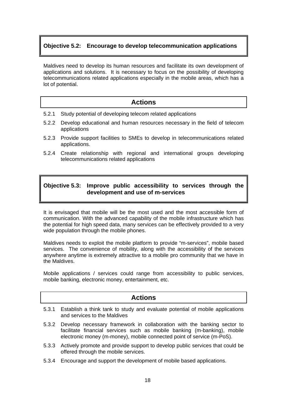#### **Objective 5.2: Encourage to develop telecommunication applications**

Maldives need to develop its human resources and facilitate its own development of applications and solutions. It is necessary to focus on the possibility of developing telecommunications related applications especially in the mobile areas, which has a lot of potential.

#### **Actions**

- 5.2.1 Study potential of developing telecom related applications
- 5.2.2 Develop educational and human resources necessary in the field of telecom applications
- 5.2.3 Provide support facilities to SMEs to develop in telecommunications related applications.
- 5.2.4 Create relationship with regional and international groups developing telecommunications related applications

#### **Objective 5.3: Improve public accessibility to services through the development and use of m-services**

It is envisaged that mobile will be the most used and the most accessible form of communication. With the advanced capability of the mobile infrastructure which has the potential for high speed data, many services can be effectively provided to a very wide population through the mobile phones.

Maldives needs to exploit the mobile platform to provide "m-services", mobile based services. The convenience of mobility, along with the accessibility of the services anywhere anytime is extremely attractive to a mobile pro community that we have in the Maldives.

Mobile applications / services could range from accessibility to public services, mobile banking, electronic money, entertainment, etc.

- 5.3.1 Establish a think tank to study and evaluate potential of mobile applications and services to the Maldives
- 5.3.2 Develop necessary framework in collaboration with the banking sector to facilitate financial services such as mobile banking (m-banking), mobile electronic money (m-money), mobile connected point of service (m-PoS).
- 5.3.3 Actively promote and provide support to develop public services that could be offered through the mobile services.
- 5.3.4 Encourage and support the development of mobile based applications.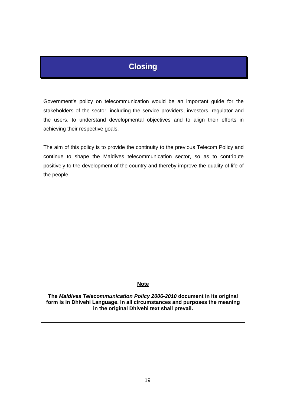# **Closing**

Government's policy on telecommunication would be an important guide for the stakeholders of the sector, including the service providers, investors, regulator and the users, to understand developmental objectives and to align their efforts in achieving their respective goals.

The aim of this policy is to provide the continuity to the previous Telecom Policy and continue to shape the Maldives telecommunication sector, so as to contribute positively to the development of the country and thereby improve the quality of life of the people.

#### **Note**

**The** *Maldives Telecommunication Policy 2006-2010* **document in its original form is in Dhivehi Language. In all circumstances and purposes the meaning in the original Dhivehi text shall prevail.**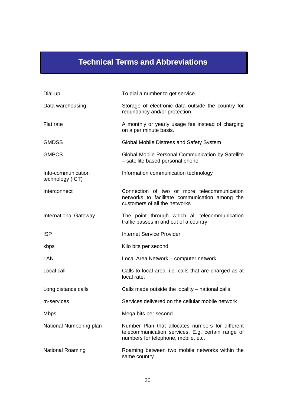# **Technical Terms and Abbreviations**

| Dial-up                                | To dial a number to get service                                                                                                              |
|----------------------------------------|----------------------------------------------------------------------------------------------------------------------------------------------|
| Data warehousing                       | Storage of electronic data outside the country for<br>redundancy and/or protection                                                           |
| Flat rate                              | A monthly or yearly usage fee instead of charging<br>on a per minute basis.                                                                  |
| <b>GMDSS</b>                           | Global Mobile Distress and Safety System                                                                                                     |
| <b>GMPCS</b>                           | Global Mobile Personal Communication by Satellite<br>- satellite based personal phone                                                        |
| Info-communication<br>technology (ICT) | Information communication technology                                                                                                         |
| Interconnect                           | Connection of two or more telecommunication<br>networks to facilitate communication among the<br>customers of all the networks               |
| <b>International Gateway</b>           | The point through which all telecommunication<br>traffic passes in and out of a country                                                      |
| <b>ISP</b>                             | <b>Internet Service Provider</b>                                                                                                             |
| kbps                                   | Kilo bits per second                                                                                                                         |
| LAN                                    | Local Area Network – computer network                                                                                                        |
| Local call                             | Calls to local area. i.e. calls that are charged as at<br>local rate.                                                                        |
| Long distance calls                    | Calls made outside the locality – national calls                                                                                             |
| m-services                             | Services delivered on the cellular mobile network                                                                                            |
| <b>Mbps</b>                            | Mega bits per second                                                                                                                         |
| National Numbering plan                | Number Plan that allocates numbers for different<br>telecommunication services. E.g. certain range of<br>numbers for telephone, mobile, etc. |
| <b>National Roaming</b>                | Roaming between two mobile networks within the<br>same country                                                                               |